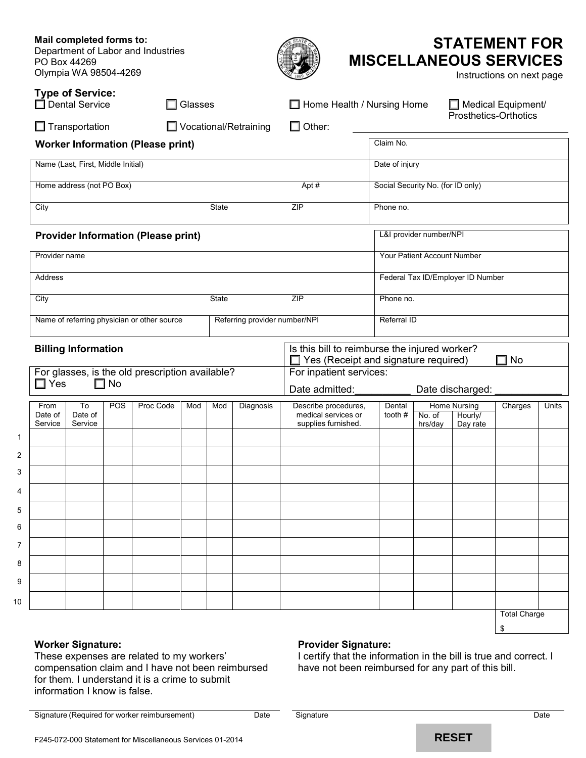**Mail completed forms to:** Department of Labor and Industries PO Box 44269 Olympia WA 98504-4269 **STATEMENT FOR MISCELLANEOUS SERVICES** Instructions on next page **Type of Service:**<br>□ Dental Service  $\Box$  Glasses  $\Box$  Home Health / Nursing Home  $\Box$  Medical Equipment/ Prosthetics-Orthotics  $\Box$  Transportation  $\Box$  Vocational/Retraining  $\Box$  Other: **Worker Information (Please print)** Claim No. Name (Last, First, Middle Initial) **Name (Research 2018)** Date of injury Home address (not PO Box) Apt # Social Security No. (for ID only) City State ZIP | Phone no. **Provider Information (Please print)** Determined the L&I provider number/NPI Provider name Your Patient Account Number Address **Federal Tax ID/Employer ID Number** Federal Tax ID/Employer ID Number City Contract City State City State New York 2IP 2019 Phone no. Name of referring physician or other source Referring provider number/NPI Referral ID **Billing Information Is this bill to reimburse the injured worker?**  $\Box$  Yes (Receipt and signature required)  $\Box$  No For glasses, is the old prescription available?  $\square$  Yes  $\square$  No For inpatient services: Date admitted: Date discharged: From Date of Service  $\overline{\tau_{\Omega}}$ Date of Service POS | Proc Code | Mod | Mod | Diagnosis | Describe procedures, medical services or supplies furnished. **Dental** tooth # Home Nursing | Charges | Units No. of hrs/day Hourly/ Day rate Total Charge

# **Worker Signature:**

1 2 3

10

## **Provider Signature:**

I certify that the information in the bill is true and correct. I have not been reimbursed for any part of this bill.

These expenses are related to my workers' compensation claim and I have not been reimbursed for them. I understand it is a crime to submit information I know is false.

Signature (Required for worker reimbursement) Date Date Signature Signature Date Date

\$